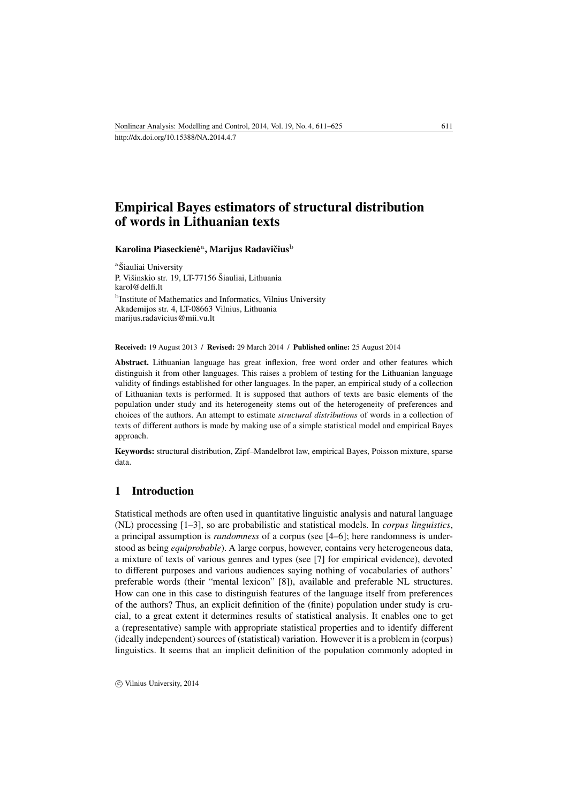# Empirical Bayes estimators of structural distribution of words in Lithuanian texts

## Karolina Piaseckienė<sup>a</sup>, Marijus Radavičius<sup>b</sup>

a Šiauliai University P. Višinskio str. 19, LT-77156 Šiauliai, Lithuania [karol@delfi.lt](mailto:karol@delfi.lt) b Institute of Mathematics and Informatics, Vilnius University Akademijos str. 4, LT-08663 Vilnius, Lithuania [marijus.radavicius@mii.vu.lt](mailto:marijus.radavicius@mii.vu.lt)

Received: 19 August 2013 / Revised: 29 March 2014 / Published online: 25 August 2014

Abstract. Lithuanian language has great inflexion, free word order and other features which distinguish it from other languages. This raises a problem of testing for the Lithuanian language validity of findings established for other languages. In the paper, an empirical study of a collection of Lithuanian texts is performed. It is supposed that authors of texts are basic elements of the population under study and its heterogeneity stems out of the heterogeneity of preferences and choices of the authors. An attempt to estimate *structural distributions* of words in a collection of texts of different authors is made by making use of a simple statistical model and empirical Bayes approach.

Keywords: structural distribution, Zipf–Mandelbrot law, empirical Bayes, Poisson mixture, sparse data.

## 1 Introduction

Statistical methods are often used in quantitative linguistic analysis and natural language (NL) processing [\[1–](#page-13-0)[3\]](#page-13-1), so are probabilistic and statistical models. In *corpus linguistics*, a principal assumption is *randomness* of a corpus (see [\[4–](#page-13-2)[6\]](#page-13-3); here randomness is understood as being *equiprobable*). A large corpus, however, contains very heterogeneous data, a mixture of texts of various genres and types (see [\[7\]](#page-13-4) for empirical evidence), devoted to different purposes and various audiences saying nothing of vocabularies of authors' preferable words (their "mental lexicon" [\[8\]](#page-13-5)), available and preferable NL structures. How can one in this case to distinguish features of the language itself from preferences of the authors? Thus, an explicit definition of the (finite) population under study is crucial, to a great extent it determines results of statistical analysis. It enables one to get a (representative) sample with appropriate statistical properties and to identify different (ideally independent) sources of (statistical) variation. However it is a problem in (corpus) linguistics. It seems that an implicit definition of the population commonly adopted in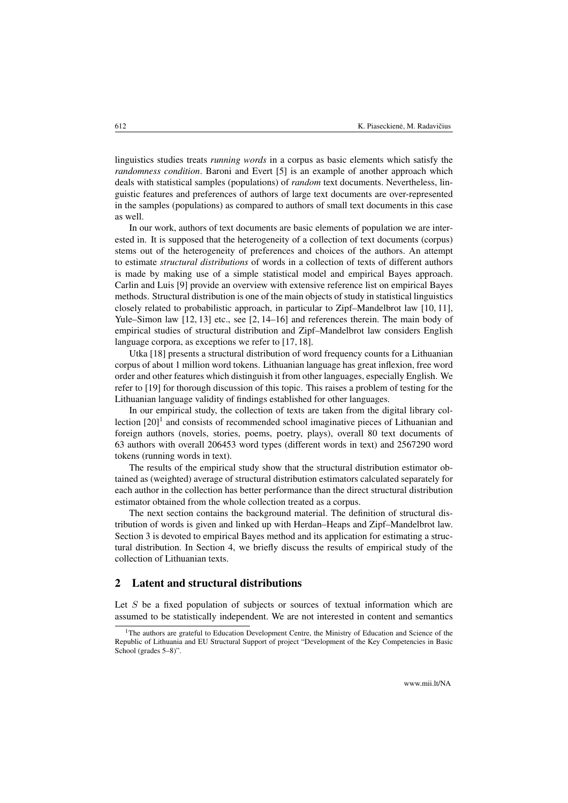linguistics studies treats *running words* in a corpus as basic elements which satisfy the *randomness condition*. Baroni and Evert [\[5\]](#page-13-6) is an example of another approach which deals with statistical samples (populations) of *random* text documents. Nevertheless, linguistic features and preferences of authors of large text documents are over-represented in the samples (populations) as compared to authors of small text documents in this case as well.

In our work, authors of text documents are basic elements of population we are interested in. It is supposed that the heterogeneity of a collection of text documents (corpus) stems out of the heterogeneity of preferences and choices of the authors. An attempt to estimate *structural distributions* of words in a collection of texts of different authors is made by making use of a simple statistical model and empirical Bayes approach. Carlin and Luis [\[9\]](#page-13-7) provide an overview with extensive reference list on empirical Bayes methods. Structural distribution is one of the main objects of study in statistical linguistics closely related to probabilistic approach, in particular to Zipf–Mandelbrot law [\[10,](#page-13-8) [11\]](#page-13-9), Yule–Simon law [\[12,](#page-13-10) [13\]](#page-13-11) etc., see [\[2,](#page-13-12) [14–](#page-13-13)[16\]](#page-13-14) and references therein. The main body of empirical studies of structural distribution and Zipf–Mandelbrot law considers English language corpora, as exceptions we refer to [\[17,](#page-13-15) [18\]](#page-14-0).

Utka [\[18\]](#page-14-0) presents a structural distribution of word frequency counts for a Lithuanian corpus of about 1 million word tokens. Lithuanian language has great inflexion, free word order and other features which distinguish it from other languages, especially English. We refer to [\[19\]](#page-14-1) for thorough discussion of this topic. This raises a problem of testing for the Lithuanian language validity of findings established for other languages.

In our empirical study, the collection of texts are taken from the digital library collection  $[20]$ <sup>[1](#page-1-0)</sup> and consists of recommended school imaginative pieces of Lithuanian and foreign authors (novels, stories, poems, poetry, plays), overall 80 text documents of 63 authors with overall 206453 word types (different words in text) and 2567290 word tokens (running words in text).

The results of the empirical study show that the structural distribution estimator obtained as (weighted) average of structural distribution estimators calculated separately for each author in the collection has better performance than the direct structural distribution estimator obtained from the whole collection treated as a corpus.

The next section contains the background material. The definition of structural distribution of words is given and linked up with Herdan–Heaps and Zipf–Mandelbrot law. Section [3](#page-7-0) is devoted to empirical Bayes method and its application for estimating a structural distribution. In Section [4,](#page-9-0) we briefly discuss the results of empirical study of the collection of Lithuanian texts.

## 2 Latent and structural distributions

Let  $S$  be a fixed population of subjects or sources of textual information which are assumed to be statistically independent. We are not interested in content and semantics

<span id="page-1-0"></span><sup>&</sup>lt;sup>1</sup>The authors are grateful to Education Development Centre, the Ministry of Education and Science of the Republic of Lithuania and EU Structural Support of project "Development of the Key Competencies in Basic School (grades 5–8)".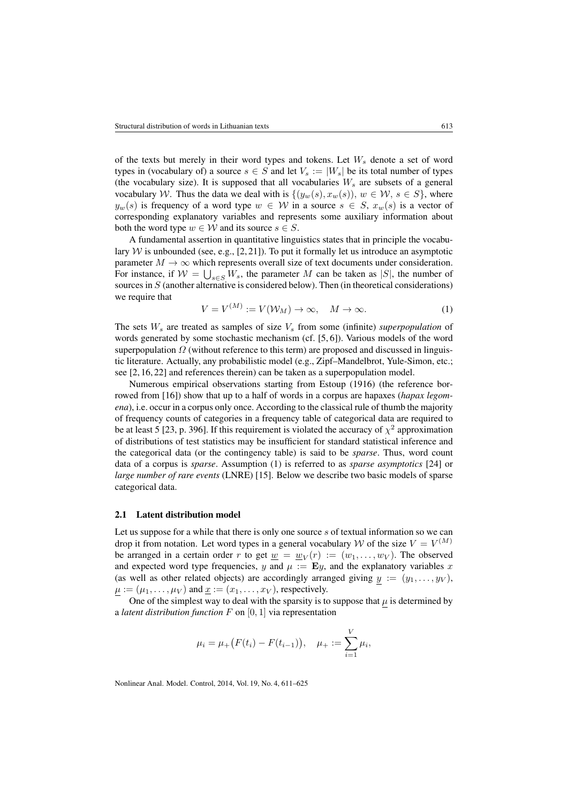of the texts but merely in their word types and tokens. Let  $W_s$  denote a set of word types in (vocabulary of) a source  $s \in S$  and let  $V_s := |W_s|$  be its total number of types (the vocabulary size). It is supposed that all vocabularies  $W_s$  are subsets of a general vocabulary W. Thus the data we deal with is  $\{(y_w(s), x_w(s)), w \in \mathcal{W}, s \in S\}$ , where  $y_w(s)$  is frequency of a word type  $w \in \mathcal{W}$  in a source  $s \in S$ ,  $x_w(s)$  is a vector of corresponding explanatory variables and represents some auxiliary information about both the word type  $w \in W$  and its source  $s \in S$ .

A fundamental assertion in quantitative linguistics states that in principle the vocabulary  $W$  is unbounded (see, e.g., [\[2,](#page-13-12) [21\]](#page-14-3)). To put it formally let us introduce an asymptotic parameter  $M \to \infty$  which represents overall size of text documents under consideration. For instance, if  $W = \bigcup_{s \in S} W_s$ , the parameter M can be taken as |S|, the number of sources in  $S$  (another alternative is considered below). Then (in theoretical considerations) we require that  $\lambda$ 

<span id="page-2-0"></span>
$$
V = V^{(M)} := V(\mathcal{W}_M) \to \infty, \quad M \to \infty.
$$
 (1)

The sets  $W_s$  are treated as samples of size  $V_s$  from some (infinite) *superpopulation* of words generated by some stochastic mechanism (cf. [\[5,](#page-13-6) [6\]](#page-13-3)). Various models of the word superpopulation  $\Omega$  (without reference to this term) are proposed and discussed in linguistic literature. Actually, any probabilistic model (e.g., Zipf–Mandelbrot, Yule-Simon, etc.; see [\[2,](#page-13-12) [16,](#page-13-14) [22\]](#page-14-4) and references therein) can be taken as a superpopulation model.

Numerous empirical observations starting from Estoup (1916) (the reference borrowed from [\[16\]](#page-13-14)) show that up to a half of words in a corpus are hapaxes (*hapax legomena*), i.e. occur in a corpus only once. According to the classical rule of thumb the majority of frequency counts of categories in a frequency table of categorical data are required to be at least 5 [\[23,](#page-14-5) p. 396]. If this requirement is violated the accuracy of  $\chi^2$  approximation of distributions of test statistics may be insufficient for standard statistical inference and the categorical data (or the contingency table) is said to be *sparse*. Thus, word count data of a corpus is *sparse*. Assumption [\(1\)](#page-2-0) is referred to as *sparse asymptotics* [\[24\]](#page-14-6) or *large number of rare events* (LNRE) [\[15\]](#page-13-16). Below we describe two basic models of sparse categorical data.

#### 2.1 Latent distribution model

Let us suppose for a while that there is only one source s of textual information so we can drop it from notation. Let word types in a general vocabulary W of the size  $V = V^{(M)}$ be arranged in a certain order r to get  $\underline{w} = \underline{w}_V(r) := (w_1, \dots, w_V)$ . The observed and expected word type frequencies, y and  $\mu := \mathbf{E}y$ , and the explanatory variables x (as well as other related objects) are accordingly arranged giving  $y := (y_1, \ldots, y_V)$ ,  $\mu := (\mu_1, \dots, \mu_V)$  and  $\underline{x} := (x_1, \dots, x_V)$ , respectively.

One of the simplest way to deal with the sparsity is to suppose that  $\mu$  is determined by a *latent distribution function* F on [0, 1] via representation

$$
\mu_i = \mu_+(F(t_i) - F(t_{i-1})), \quad \mu_+ := \sum_{i=1}^V \mu_i,
$$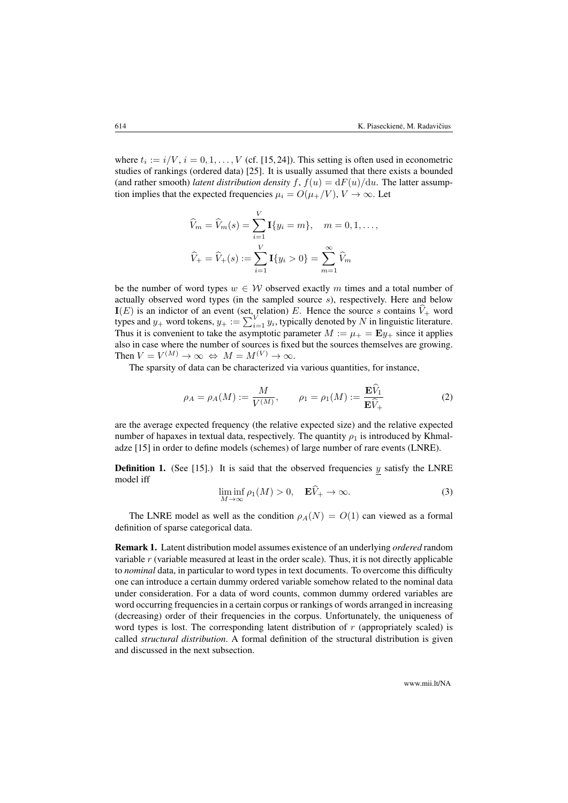where  $t_i := i/V$ ,  $i = 0, 1, ..., V$  (cf. [\[15,](#page-13-16) [24\]](#page-14-6)). This setting is often used in econometric studies of rankings (ordered data) [\[25\]](#page-14-7). It is usually assumed that there exists a bounded (and rather smooth) *latent distribution density*  $f, f(u) = dF(u)/du$ . The latter assumption implies that the expected frequencies  $\mu_i = O(\mu_+ / V), V \to \infty$ . Let

$$
\widehat{V}_m = \widehat{V}_m(s) = \sum_{i=1}^V \mathbf{I}\{y_i = m\}, \quad m = 0, 1, ...,
$$
  

$$
\widehat{V}_+ = \widehat{V}_+(s) := \sum_{i=1}^V \mathbf{I}\{y_i > 0\} = \sum_{m=1}^\infty \widehat{V}_m
$$

be the number of word types  $w \in W$  observed exactly m times and a total number of actually observed word types (in the sampled source  $s$ ), respectively. Here and below  $I(E)$  is an indictor of an event (set, relation) E. Hence the source s contains  $V_+$  word types and  $y_+$  word tokens,  $y_+ := \sum_{i=1}^{V} y_i$ , typically denoted by N in linguistic literature. Thus it is convenient to take the asymptotic parameter  $M := \mu_+ = \mathbf{E} y_+$  since it applies also in case where the number of sources is fixed but the sources themselves are growing. Then  $V = V^{(M)} \to \infty \Leftrightarrow M = M^{(V)} \to \infty$ .

The sparsity of data can be characterized via various quantities, for instance,

<span id="page-3-0"></span>
$$
\rho_A = \rho_A(M) := \frac{M}{V^{(M)}}, \qquad \rho_1 = \rho_1(M) := \frac{\mathbf{E}\hat{V}_1}{\mathbf{E}\hat{V}_+}
$$
\n(2)

are the average expected frequency (the relative expected size) and the relative expected number of hapaxes in textual data, respectively. The quantity  $\rho_1$  is introduced by Khmaladze [\[15\]](#page-13-16) in order to define models (schemes) of large number of rare events (LNRE).

**Definition 1.** (See [\[15\]](#page-13-16).) It is said that the observed frequencies  $y$  satisfy the LNRE model iff

<span id="page-3-1"></span>
$$
\liminf_{M \to \infty} \rho_1(M) > 0, \quad \mathbf{E} V_+ \to \infty.
$$
 (3)

The LNRE model as well as the condition  $\rho_A(N) = O(1)$  can viewed as a formal definition of sparse categorical data.

Remark 1. Latent distribution model assumes existence of an underlying *ordered* random variable r (variable measured at least in the order scale). Thus, it is not directly applicable to *nominal* data, in particular to word types in text documents. To overcome this difficulty one can introduce a certain dummy ordered variable somehow related to the nominal data under consideration. For a data of word counts, common dummy ordered variables are word occurring frequencies in a certain corpus or rankings of words arranged in increasing (decreasing) order of their frequencies in the corpus. Unfortunately, the uniqueness of word types is lost. The corresponding latent distribution of  $r$  (appropriately scaled) is called *structural distribution*. A formal definition of the structural distribution is given and discussed in the next subsection.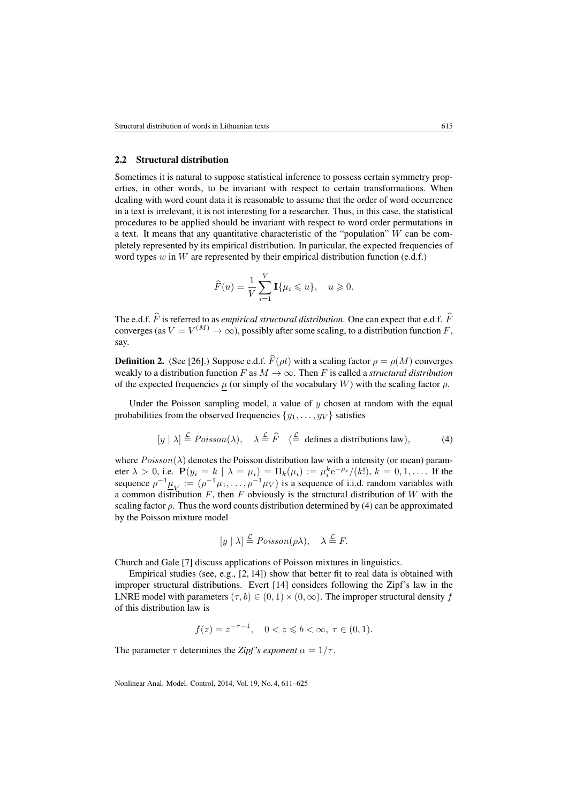#### 2.2 Structural distribution

Sometimes it is natural to suppose statistical inference to possess certain symmetry properties, in other words, to be invariant with respect to certain transformations. When dealing with word count data it is reasonable to assume that the order of word occurrence in a text is irrelevant, it is not interesting for a researcher. Thus, in this case, the statistical procedures to be applied should be invariant with respect to word order permutations in a text. It means that any quantitative characteristic of the "population"  $W$  can be completely represented by its empirical distribution. In particular, the expected frequencies of word types  $w$  in W are represented by their empirical distribution function (e.d.f.)

$$
\widehat{F}(u) = \frac{1}{V} \sum_{i=1}^{V} \mathbf{I}\{\mu_i \leqslant u\}, \quad u \geqslant 0.
$$

The e.d.f.  $\widehat{F}$  is referred to as *empirical structural distribution*. One can expect that e.d.f.  $\widehat{F}$ converges (as  $V = V^{(M)} \rightarrow \infty$ ), possibly after some scaling, to a distribution function F, say.

**Definition 2.** (See [\[26\]](#page-14-8).) Suppose e.d.f.  $\widehat{F}(\rho t)$  with a scaling factor  $\rho = \rho(M)$  converges weakly to a distribution function F as  $M \to \infty$ . Then F is called a *structural distribution* of the expected frequencies  $\mu$  (or simply of the vocabulary W) with the scaling factor  $\rho$ .

Under the Poisson sampling model, a value of  $y$  chosen at random with the equal probabilities from the observed frequencies  $\{y_1, \ldots, y_V\}$  satisfies

<span id="page-4-0"></span>
$$
[y \mid \lambda] \stackrel{\mathcal{L}}{=} \text{Poisson}(\lambda), \quad \lambda \stackrel{\mathcal{L}}{=} \widehat{F} \quad (\stackrel{\mathcal{L}}{=} \text{ defines a distributions law}), \tag{4}
$$

where  $Poisson(\lambda)$  denotes the Poisson distribution law with a intensity (or mean) parameter  $\lambda > 0$ , i.e.  $P(y_i = k \mid \lambda = \mu_i) = \Pi_k(\mu_i) := \mu_i^k e^{-\mu_i} / (k!)$ ,  $k = 0, 1, \dots$  If the sequence  $\rho^{-1}\underline{\mu}_V := (\rho^{-1}\mu_1, \ldots, \rho^{-1}\mu_V)$  is a sequence of i.i.d. random variables with a common distribution  $F$ , then  $F$  obviously is the structural distribution of  $W$  with the scaling factor  $\rho$ . Thus the word counts distribution determined by [\(4\)](#page-4-0) can be approximated by the Poisson mixture model

$$
[y \mid \lambda] \stackrel{\mathcal{L}}{=} Poisson(\rho \lambda), \quad \lambda \stackrel{\mathcal{L}}{=} F.
$$

Church and Gale [\[7\]](#page-13-4) discuss applications of Poisson mixtures in linguistics.

Empirical studies (see, e.g., [\[2,](#page-13-12) [14\]](#page-13-13)) show that better fit to real data is obtained with improper structural distributions. Evert [\[14\]](#page-13-13) considers following the Zipf's law in the LNRE model with parameters  $(\tau, b) \in (0, 1) \times (0, \infty)$ . The improper structural density f of this distribution law is

$$
f(z) = z^{-\tau - 1}, \quad 0 < z \leq b < \infty, \ \tau \in (0, 1).
$$

The parameter  $\tau$  determines the *Zipf's exponent*  $\alpha = 1/\tau$ .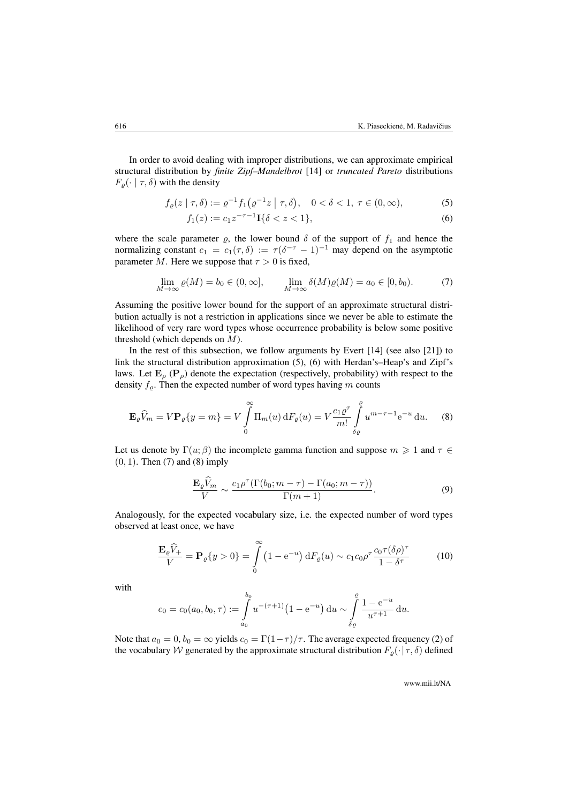In order to avoid dealing with improper distributions, we can approximate empirical structural distribution by *finite Zipf–Mandelbrot* [\[14\]](#page-13-13) or *truncated Pareto* distributions  $F_{\varrho}(\cdot \mid \tau, \delta)$  with the density

$$
f_{\varrho}(z \mid \tau, \delta) := \varrho^{-1} f_1(\varrho^{-1} z \mid \tau, \delta), \quad 0 < \delta < 1, \ \tau \in (0, \infty), \tag{5}
$$

<span id="page-5-1"></span><span id="page-5-0"></span>
$$
f_1(z) := c_1 z^{-\tau - 1} \mathbf{I} \{ \delta < z < 1 \},\tag{6}
$$

where the scale parameter  $\varrho$ , the lower bound  $\delta$  of the support of  $f_1$  and hence the normalizing constant  $c_1 = c_1(\tau, \delta) := \tau(\delta^{-\tau} - 1)^{-1}$  may depend on the asymptotic parameter M. Here we suppose that  $\tau > 0$  is fixed,

<span id="page-5-2"></span>
$$
\lim_{M \to \infty} \varrho(M) = b_0 \in (0, \infty], \qquad \lim_{M \to \infty} \delta(M)\varrho(M) = a_0 \in [0, b_0). \tag{7}
$$

Assuming the positive lower bound for the support of an approximate structural distribution actually is not a restriction in applications since we never be able to estimate the likelihood of very rare word types whose occurrence probability is below some positive threshold (which depends on M).

In the rest of this subsection, we follow arguments by Evert [\[14\]](#page-13-13) (see also [\[21\]](#page-14-3)) to link the structural distribution approximation [\(5\)](#page-5-0), [\(6\)](#page-5-1) with Herdan's–Heap's and Zipf's laws. Let  $\mathbf{E}_{\rho}$  ( $\mathbf{P}_{\rho}$ ) denote the expectation (respectively, probability) with respect to the density  $f_{\varrho}$ . Then the expected number of word types having m counts

<span id="page-5-3"></span>
$$
\mathbf{E}_{\varrho}\widehat{V}_{m} = V\mathbf{P}_{\varrho}\{y=m\} = V\int_{0}^{\infty} \Pi_{m}(u) dF_{\varrho}(u) = V\frac{c_{1}\varrho^{\tau}}{m!} \int_{\delta\varrho}^{\varrho} u^{m-\tau-1} e^{-u} du. \tag{8}
$$

Let us denote by  $\Gamma(u; \beta)$  the incomplete gamma function and suppose  $m \geq 1$  and  $\tau \in$  $(0, 1)$ . Then  $(7)$  and  $(8)$  imply

<span id="page-5-5"></span>
$$
\frac{\mathbf{E}_{\varrho}\widehat{V}_{m}}{V} \sim \frac{c_{1}\rho^{\tau}(\Gamma(b_{0};m-\tau)-\Gamma(a_{0};m-\tau))}{\Gamma(m+1)}.
$$
\n(9)

Analogously, for the expected vocabulary size, i.e. the expected number of word types observed at least once, we have

<span id="page-5-4"></span>
$$
\frac{\mathbf{E}_{\varrho}\widehat{V}_{+}}{V} = \mathbf{P}_{\varrho}\{y > 0\} = \int_{0}^{\infty} (1 - e^{-u}) dF_{\varrho}(u) \sim c_1 c_0 \rho^{\tau} \frac{c_0 \tau (\delta \rho)^{\tau}}{1 - \delta^{\tau}}
$$
(10)

with

$$
c_0 = c_0(a_0, b_0, \tau) := \int_{a_0}^{b_0} u^{-(\tau+1)} (1 - e^{-u}) du \sim \int_{\delta_{\varrho}}^{\varrho} \frac{1 - e^{-u}}{u^{\tau+1}} du.
$$

Note that  $a_0 = 0$ ,  $b_0 = \infty$  yields  $c_0 = \Gamma(1-\tau)/\tau$ . The average expected frequency [\(2\)](#page-3-0) of the vocabulary W generated by the approximate structural distribution  $F_{\varrho}(\cdot | \tau, \delta)$  defined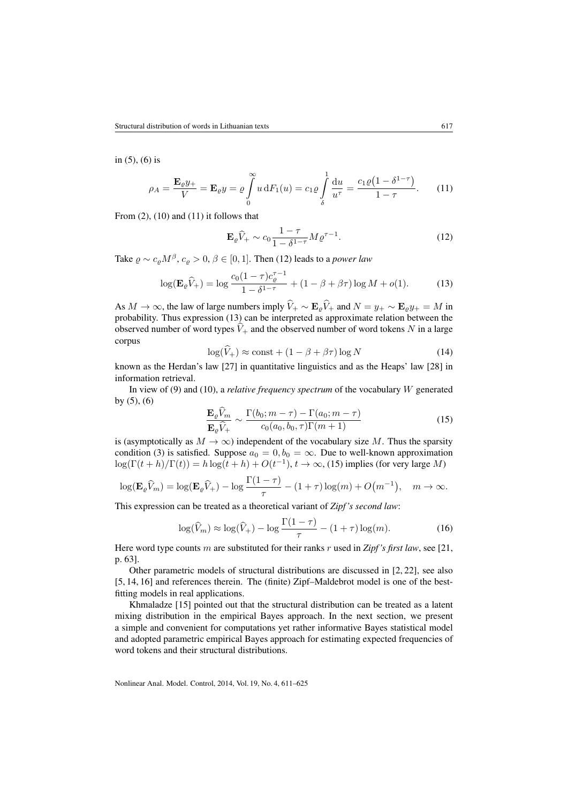in [\(5\)](#page-5-0), [\(6\)](#page-5-1) is

<span id="page-6-0"></span>
$$
\rho_A = \frac{\mathbf{E}_{\varrho} y_+}{V} = \mathbf{E}_{\varrho} y = \varrho \int_0^{\infty} u \, dF_1(u) = c_1 \varrho \int_{\delta}^1 \frac{du}{u^{\tau}} = \frac{c_1 \varrho (1 - \delta^{1 - \tau})}{1 - \tau}.
$$
 (11)

From  $(2)$ ,  $(10)$  and  $(11)$  it follows that

<span id="page-6-1"></span>
$$
\mathbf{E}_{\varrho}\widehat{V}_{+} \sim c_0 \frac{1-\tau}{1-\delta^{1-\tau}} M \varrho^{\tau-1}.
$$
 (12)

Take  $\rho \sim c_{\rho} M^{\beta}$ ,  $c_{\rho} > 0$ ,  $\beta \in [0, 1]$ . Then [\(12\)](#page-6-1) leads to a *power law* 

<span id="page-6-2"></span>
$$
\log(\mathbf{E}_{\varrho}\hat{V}_+) = \log \frac{c_0(1-\tau)c_{\varrho}^{\tau-1}}{1-\delta^{1-\tau}} + (1-\beta+\beta\tau)\log M + o(1). \tag{13}
$$

As  $M \to \infty$ , the law of large numbers imply  $\hat{V}_+ \sim \mathbf{E}_{\rho} \hat{V}_+$  and  $N = y_+ \sim \mathbf{E}_{\rho} y_+ = M$  in probability. Thus expression [\(13\)](#page-6-2) can be interpreted as approximate relation between the observed number of word types  $\hat{V}_+$  and the observed number of word tokens N in a large corpus

<span id="page-6-4"></span>
$$
\log(V_+) \approx \text{const} + (1 - \beta + \beta\tau) \log N \tag{14}
$$

known as the Herdan's law [\[27\]](#page-14-9) in quantitative linguistics and as the Heaps' law [\[28\]](#page-14-10) in information retrieval.

In view of [\(9\)](#page-5-5) and [\(10\)](#page-5-4), a *relative frequency spectrum* of the vocabulary W generated by  $(5)$ ,  $(6)$ 

<span id="page-6-3"></span>
$$
\frac{\mathbf{E}_{\varrho}\widehat{V}_{m}}{\mathbf{E}_{\varrho}\widehat{V}_{+}} \sim \frac{\Gamma(b_{0}; m-\tau) - \Gamma(a_{0}; m-\tau)}{c_{0}(a_{0}, b_{0}, \tau)\Gamma(m+1)}
$$
(15)

is (asymptotically as  $M \to \infty$ ) independent of the vocabulary size M. Thus the sparsity condition [\(3\)](#page-3-1) is satisfied. Suppose  $a_0 = 0, b_0 = \infty$ . Due to well-known approximation  $log(\Gamma(t+h)/\Gamma(t)) = h log(t+h) + O(t^{-1}), t \to \infty$ , [\(15\)](#page-6-3) implies (for very large M)

$$
\log(\mathbf{E}_{\varrho}\widehat{V}_m) = \log(\mathbf{E}_{\varrho}\widehat{V}_+) - \log\frac{\Gamma(1-\tau)}{\tau} - (1+\tau)\log(m) + O\big(m^{-1}\big), \quad m \to \infty.
$$

This expression can be treated as a theoretical variant of *Zipf 's second law*:

<span id="page-6-5"></span>
$$
\log(\widehat{V}_m) \approx \log(\widehat{V}_+) - \log \frac{\Gamma(1-\tau)}{\tau} - (1+\tau)\log(m). \tag{16}
$$

Here word type counts m are substituted for their ranks r used in *Zipf 's first law*, see [\[21,](#page-14-3) p. 63].

Other parametric models of structural distributions are discussed in [\[2,](#page-13-12) [22\]](#page-14-4), see also [\[5,](#page-13-6) [14,](#page-13-13) [16\]](#page-13-14) and references therein. The (finite) Zipf–Maldebrot model is one of the bestfitting models in real applications.

Khmaladze [\[15\]](#page-13-16) pointed out that the structural distribution can be treated as a latent mixing distribution in the empirical Bayes approach. In the next section, we present a simple and convenient for computations yet rather informative Bayes statistical model and adopted parametric empirical Bayes approach for estimating expected frequencies of word tokens and their structural distributions.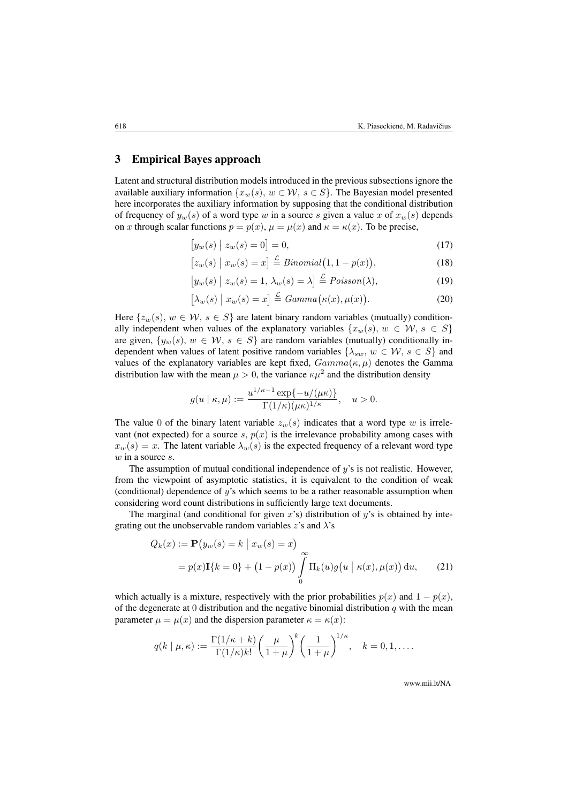## <span id="page-7-0"></span>3 Empirical Bayes approach

Latent and structural distribution models introduced in the previous subsections ignore the available auxiliary information  $\{x_w(s), w \in \mathcal{W}, s \in S\}$ . The Bayesian model presented here incorporates the auxiliary information by supposing that the conditional distribution of frequency of  $y_w(s)$  of a word type w in a source s given a value x of  $x_w(s)$  depends on x through scalar functions  $p = p(x)$ ,  $\mu = \mu(x)$  and  $\kappa = \kappa(x)$ . To be precise,

- <span id="page-7-1"></span> $[y_w(s) | z_w(s) = 0] = 0,$  (17)
- $[z_w(s) | x_w(s) = x] \stackrel{\mathcal{L}}{=} Binomial(1, 1 p(x))$  $(18)$

$$
[y_w(s) | z_w(s) = 1, \lambda_w(s) = \lambda] \stackrel{\mathcal{L}}{=} \text{Poisson}(\lambda), \tag{19}
$$

<span id="page-7-2"></span>
$$
\[\lambda_w(s) \mid x_w(s) = x\] \stackrel{\mathcal{L}}{=} Gamma\big(\kappa(x), \mu(x)\big). \tag{20}
$$

Here  $\{z_w(s), w \in \mathcal{W}, s \in S\}$  are latent binary random variables (mutually) conditionally independent when values of the explanatory variables  $\{x_w(s), w \in \mathcal{W}, s \in S\}$ are given,  $\{y_w(s), w \in \mathcal{W}, s \in S\}$  are random variables (mutually) conditionally independent when values of latent positive random variables  $\{\lambda_{sw}, w \in \mathcal{W}, s \in S\}$  and values of the explanatory variables are kept fixed,  $Gamma(\kappa, \mu)$  denotes the Gamma distribution law with the mean  $\mu > 0$ , the variance  $\kappa \mu^2$  and the distribution density

$$
g(u \mid \kappa, \mu) := \frac{u^{1/\kappa - 1} \exp\{-u/(\mu \kappa)\}}{\Gamma(1/\kappa)(\mu \kappa)^{1/\kappa}}, \quad u > 0.
$$

The value 0 of the binary latent variable  $z_w(s)$  indicates that a word type w is irrelevant (not expected) for a source s,  $p(x)$  is the irrelevance probability among cases with  $x_w(s) = x$ . The latent variable  $\lambda_w(s)$  is the expected frequency of a relevant word type  $w$  in a source  $s$ .

The assumption of mutual conditional independence of  $y$ 's is not realistic. However, from the viewpoint of asymptotic statistics, it is equivalent to the condition of weak (conditional) dependence of  $y$ 's which seems to be a rather reasonable assumption when considering word count distributions in sufficiently large text documents.

The marginal (and conditional for given  $x$ 's) distribution of  $y$ 's is obtained by integrating out the unobservable random variables  $z$ 's and  $\lambda$ 's

<span id="page-7-3"></span>
$$
Q_k(x) := \mathbf{P}\big(y_w(s) = k \mid x_w(s) = x\big)
$$
  
=  $p(x)\mathbf{I}\{k=0\} + (1-p(x))\int_{0}^{\infty} \Pi_k(u)g\big(u \mid \kappa(x), \mu(x)\big) du,$  (21)

which actually is a mixture, respectively with the prior probabilities  $p(x)$  and  $1 - p(x)$ , of the degenerate at 0 distribution and the negative binomial distribution  $q$  with the mean parameter  $\mu = \mu(x)$  and the dispersion parameter  $\kappa = \kappa(x)$ :

$$
q(k \mid \mu, \kappa) := \frac{\Gamma(1/\kappa + k)}{\Gamma(1/\kappa)k!} \left(\frac{\mu}{1+\mu}\right)^k \left(\frac{1}{1+\mu}\right)^{1/\kappa}, \quad k = 0, 1, \dots.
$$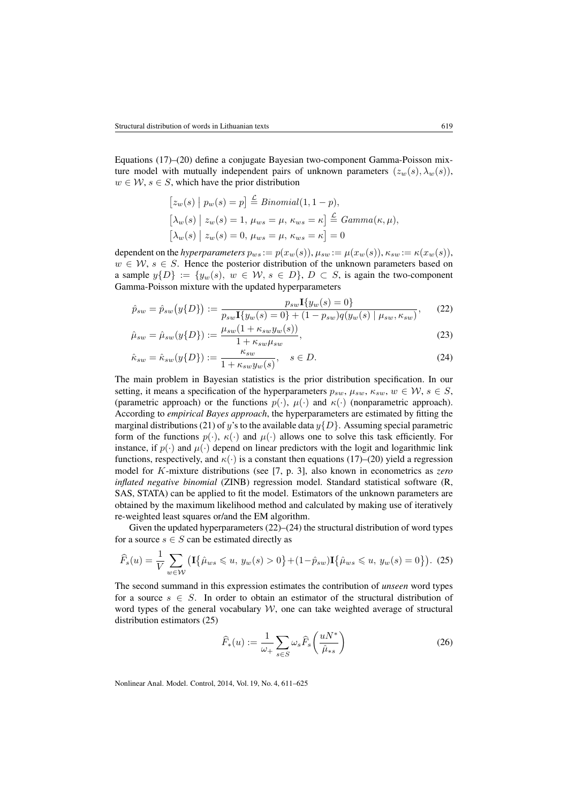Equations [\(17\)](#page-7-1)–[\(20\)](#page-7-2) define a conjugate Bayesian two-component Gamma-Poisson mixture model with mutually independent pairs of unknown parameters  $(z_w(s), \lambda_w(s)),$  $w \in \mathcal{W}, s \in S$ , which have the prior distribution

<span id="page-8-0"></span>
$$
[z_w(s) | p_w(s) = p] \stackrel{\mathcal{L}}{=} Binomial(1, 1 - p),
$$
  
\n
$$
[\lambda_w(s) | z_w(s) = 1, \mu_{ws} = \mu, \kappa_{ws} = \kappa] \stackrel{\mathcal{L}}{=} Gamma(\kappa, \mu),
$$
  
\n
$$
[\lambda_w(s) | z_w(s) = 0, \mu_{ws} = \mu, \kappa_{ws} = \kappa] = 0
$$

dependent on the *hyperparameters*  $p_{ws} := p(x_w(s)), \mu_{sw} := \mu(x_w(s)), \kappa_{sw} := \kappa(x_w(s)),$  $w \in \mathcal{W}, s \in S$ . Hence the posterior distribution of the unknown parameters based on a sample  $y{D} := \{y_w(s), w \in W, s \in D\}$ ,  $D \subset S$ , is again the two-component Gamma-Poisson mixture with the updated hyperparameters

$$
\hat{p}_{sw} = \hat{p}_{sw}(y\{D\}) := \frac{p_{sw}\mathbf{I}\{y_w(s) = 0\}}{p_{sw}\mathbf{I}\{y_w(s) = 0\} + (1 - p_{sw})q(y_w(s) | \mu_{sw}, \kappa_{sw})},\tag{22}
$$

$$
\hat{\mu}_{sw} = \hat{\mu}_{sw}(y\{D\}) := \frac{\mu_{sw}(1 + \kappa_{sw}y_w(s))}{1 + \kappa_{sw}\mu_{sw}},
$$
\n(23)

<span id="page-8-1"></span>
$$
\hat{\kappa}_{sw} = \hat{\kappa}_{sw}(y\{D\}) := \frac{\kappa_{sw}}{1 + \kappa_{sw}y_w(s)}, \quad s \in D. \tag{24}
$$

The main problem in Bayesian statistics is the prior distribution specification. In our setting, it means a specification of the hyperparameters  $p_{sw}$ ,  $\mu_{sw}$ ,  $\kappa_{sw}$ ,  $w \in \mathcal{W}$ ,  $s \in S$ , (parametric approach) or the functions  $p(\cdot)$ ,  $\mu(\cdot)$  and  $\kappa(\cdot)$  (nonparametric approach). According to *empirical Bayes approach*, the hyperparameters are estimated by fitting the marginal distributions [\(21\)](#page-7-3) of y's to the available data  $y\{D\}$ . Assuming special parametric form of the functions  $p(\cdot)$ ,  $\kappa(\cdot)$  and  $\mu(\cdot)$  allows one to solve this task efficiently. For instance, if  $p(\cdot)$  and  $\mu(\cdot)$  depend on linear predictors with the logit and logarithmic link functions, respectively, and  $\kappa(\cdot)$  is a constant then equations [\(17\)](#page-7-1)–[\(20\)](#page-7-2) yield a regression model for K-mixture distributions (see [\[7,](#page-13-4) p. 3], also known in econometrics as *zero inflated negative binomial* (ZINB) regression model. Standard statistical software (R, SAS, STATA) can be applied to fit the model. Estimators of the unknown parameters are obtained by the maximum likelihood method and calculated by making use of iteratively re-weighted least squares or/and the EM algorithm.

Given the updated hyperparameters [\(22\)](#page-8-0)–[\(24\)](#page-8-1) the structural distribution of word types for a source  $s \in S$  can be estimated directly as

<span id="page-8-2"></span>
$$
\widehat{F}_s(u) = \frac{1}{V} \sum_{w \in \mathcal{W}} \left( \mathbf{I} \{ \widehat{\mu}_{ws} \leq u, y_w(s) > 0 \} + (1 - \widehat{p}_{sw}) \mathbf{I} \{ \widehat{\mu}_{ws} \leq u, y_w(s) = 0 \} \right). \tag{25}
$$

The second summand in this expression estimates the contribution of *unseen* word types for a source  $s \in S$ . In order to obtain an estimator of the structural distribution of word types of the general vocabulary  $W$ , one can take weighted average of structural distribution estimators [\(25\)](#page-8-2)

<span id="page-8-3"></span>
$$
\widehat{F}_*(u) := \frac{1}{\omega_+} \sum_{s \in S} \omega_s \widehat{F}_s \left( \frac{uN^*}{\widehat{\mu}_{*s}} \right) \tag{26}
$$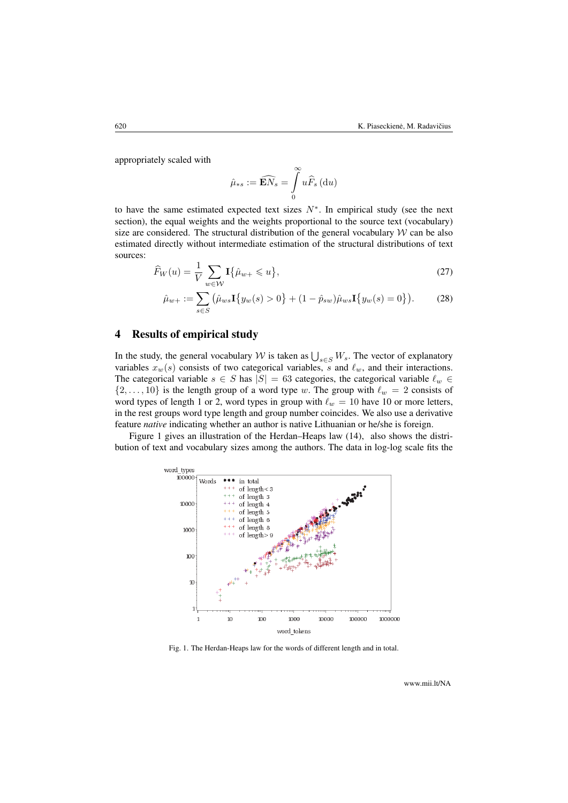appropriately scaled with

<span id="page-9-3"></span><span id="page-9-2"></span>
$$
\hat{\mu}_{*s}:=\widehat{\mathbf{E}N_s}=\int\limits_0^\infty u\widehat{F}_s\left(\mathrm{d} u\right)
$$

to have the same estimated expected text sizes  $N^*$ . In empirical study (see the next section), the equal weights and the weights proportional to the source text (vocabulary) size are considered. The structural distribution of the general vocabulary  $W$  can be also estimated directly without intermediate estimation of the structural distributions of text sources:

$$
\widehat{F}_W(u) = \frac{1}{V} \sum_{w \in \mathcal{W}} \mathbf{I}\{\widehat{\mu}_{w+} \leqslant u\},\tag{27}
$$

$$
\hat{\mu}_{w+} := \sum_{s \in S} (\hat{\mu}_{w\,} \mathbf{I}\{y_w(s) > 0\} + (1 - \hat{p}_{sw})\hat{\mu}_{ws} \mathbf{I}\{y_w(s) = 0\}).\tag{28}
$$

## <span id="page-9-0"></span>4 Results of empirical study

In the study, the general vocabulary W is taken as  $\bigcup_{s \in S} W_s$ . The vector of explanatory variables  $x_w(s)$  consists of two categorical variables, s and  $\ell_w$ , and their interactions. The categorical variable  $s \in S$  has  $|S| = 63$  categories, the categorical variable  $\ell_w \in S$  $\{2, \ldots, 10\}$  is the length group of a word type w. The group with  $\ell_w = 2$  consists of word types of length 1 or 2, word types in group with  $\ell_w = 10$  have 10 or more letters, in the rest groups word type length and group number coincides. We also use a derivative feature *native* indicating whether an author is native Lithuanian or he/she is foreign.

<span id="page-9-1"></span>Figure [1](#page-9-1) gives an illustration of the Herdan–Heaps law [\(14\)](#page-6-4), also shows the distribution of text and vocabulary sizes among the authors. The data in log-log scale fits the



Fig. 1. The Herdan-Heaps law for the words of different length and in total.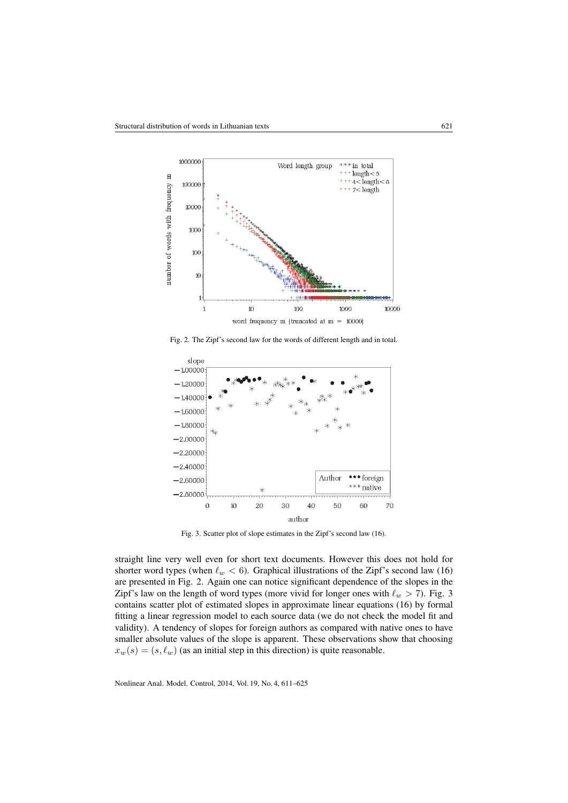<span id="page-10-0"></span>

Fig. 2. The Zipf's second law for the words of different length and in total.

<span id="page-10-1"></span>

Fig. 3. Scatter plot of slope estimates in the Zipf's second law [\(16\)](#page-6-5).

straight line very well even for short text documents. However this does not hold for shorter word types (when  $\ell_w < 6$ ). Graphical illustrations of the Zipf's second law [\(16\)](#page-6-5) are presented in Fig. [2.](#page-10-0) Again one can notice significant dependence of the slopes in the Zipf's law on the length of word types (more vivid for longer ones with  $\ell_w > 7$ ). Fig. [3](#page-10-1) contains scatter plot of estimated slopes in approximate linear equations [\(16\)](#page-6-5) by formal fitting a linear regression model to each source data (we do not check the model fit and validity). A tendency of slopes for foreign authors as compared with native ones to have smaller absolute values of the slope is apparent. These observations show that choosing  $x_w(s) = (s, \ell_w)$  (as an initial step in this direction) is quite reasonable.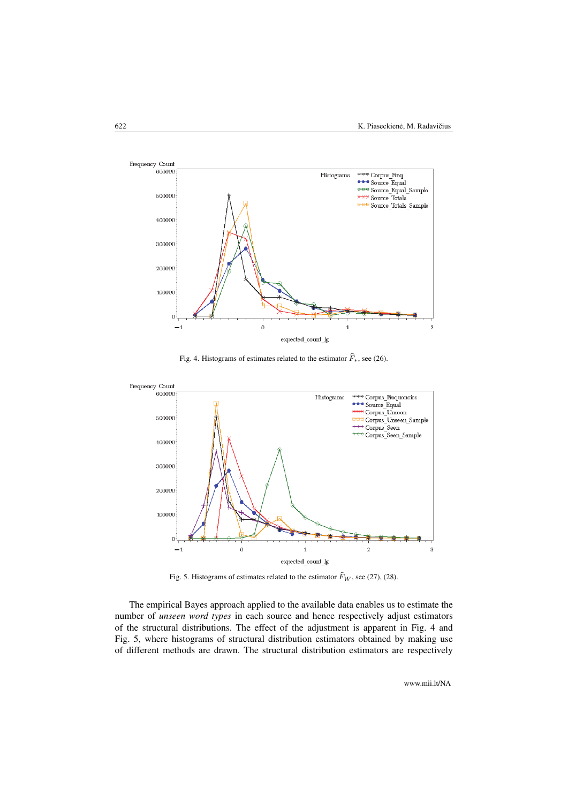<span id="page-11-0"></span>

Fig. 4. Histograms of estimates related to the estimator  $\widehat{F}_*$ , see [\(26\)](#page-8-3).

<span id="page-11-1"></span>

Fig. 5. Histograms of estimates related to the estimator  $\widehat{F}_W$ , see [\(27\)](#page-9-2), [\(28\)](#page-9-3).

The empirical Bayes approach applied to the available data enables us to estimate the number of *unseen word types* in each source and hence respectively adjust estimators of the structural distributions. The effect of the adjustment is apparent in Fig. [4](#page-11-0) and Fig. [5,](#page-11-1) where histograms of structural distribution estimators obtained by making use of different methods are drawn. The structural distribution estimators are respectively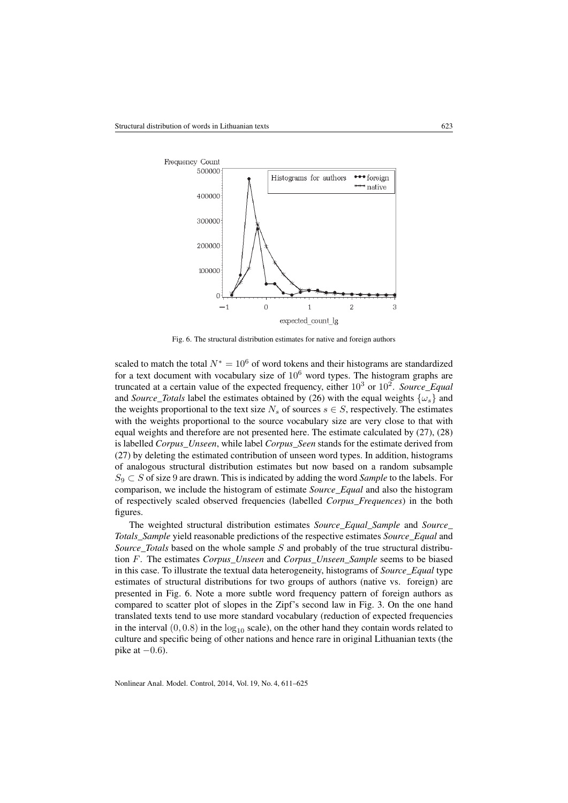<span id="page-12-0"></span>

Fig. 6. The structural distribution estimates for native and foreign authors

scaled to match the total  $N^* = 10^6$  of word tokens and their histograms are standardized for a text document with vocabulary size of  $10<sup>6</sup>$  word types. The histogram graphs are truncated at a certain value of the expected frequency, either  $10^3$  or  $10^2$ . *Source\_Equal* and *Source\_Totals* label the estimates obtained by [\(26\)](#page-8-3) with the equal weights  $\{\omega_s\}$  and the weights proportional to the text size  $N_s$  of sources  $s \in S$ , respectively. The estimates with the weights proportional to the source vocabulary size are very close to that with equal weights and therefore are not presented here. The estimate calculated by [\(27\)](#page-9-2), [\(28\)](#page-9-3) is labelled *Corpus\_Unseen*, while label *Corpus\_Seen* stands for the estimate derived from [\(27\)](#page-9-2) by deleting the estimated contribution of unseen word types. In addition, histograms of analogous structural distribution estimates but now based on a random subsample S<sup>9</sup> ⊂ S of size 9 are drawn. This is indicated by adding the word *Sample* to the labels. For comparison, we include the histogram of estimate *Source\_Equal* and also the histogram of respectively scaled observed frequencies (labelled *Corpus\_Frequences*) in the both figures.

The weighted structural distribution estimates *Source\_Equal\_Sample* and *Source\_ Totals\_Sample* yield reasonable predictions of the respective estimates *Source\_Equal* and *Source\_Totals* based on the whole sample S and probably of the true structural distribution F. The estimates *Corpus\_Unseen* and *Corpus\_Unseen\_Sample* seems to be biased in this case. To illustrate the textual data heterogeneity, histograms of *Source\_Equal* type estimates of structural distributions for two groups of authors (native vs. foreign) are presented in Fig. [6.](#page-12-0) Note a more subtle word frequency pattern of foreign authors as compared to scatter plot of slopes in the Zipf's second law in Fig. [3.](#page-10-1) On the one hand translated texts tend to use more standard vocabulary (reduction of expected frequencies in the interval  $(0, 0.8)$  in the  $log_{10}$  scale), on the other hand they contain words related to culture and specific being of other nations and hence rare in original Lithuanian texts (the pike at  $-0.6$ ).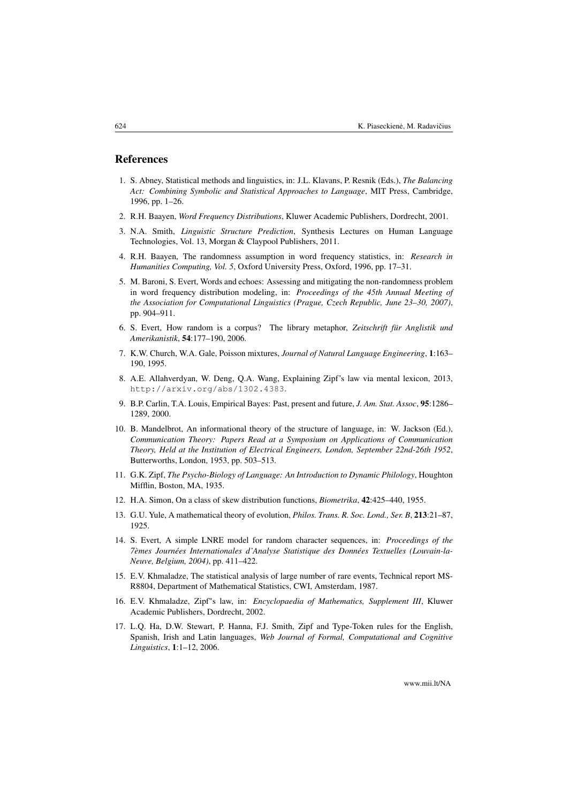### References

- <span id="page-13-0"></span>1. S. Abney, Statistical methods and linguistics, in: J.L. Klavans, P. Resnik (Eds.), *The Balancing Act: Combining Symbolic and Statistical Approaches to Language*, MIT Press, Cambridge, 1996, pp. 1–26.
- <span id="page-13-12"></span>2. R.H. Baayen, *Word Frequency Distributions*, Kluwer Academic Publishers, Dordrecht, 2001.
- <span id="page-13-1"></span>3. N.A. Smith, *Linguistic Structure Prediction*, Synthesis Lectures on Human Language Technologies, Vol. 13, Morgan & Claypool Publishers, 2011.
- <span id="page-13-2"></span>4. R.H. Baayen, The randomness assumption in word frequency statistics, in: *Research in Humanities Computing, Vol. 5*, Oxford University Press, Oxford, 1996, pp. 17–31.
- <span id="page-13-6"></span>5. M. Baroni, S. Evert, Words and echoes: Assessing and mitigating the non-randomness problem in word frequency distribution modeling, in: *Proceedings of the 45th Annual Meeting of the Association for Computational Linguistics (Prague, Czech Republic, June 23–30, 2007)*, pp. 904–911.
- <span id="page-13-3"></span>6. S. Evert, How random is a corpus? The library metaphor, *Zeitschrift für Anglistik und Amerikanistik*, 54:177–190, 2006.
- <span id="page-13-4"></span>7. K.W. Church, W.A. Gale, Poisson mixtures, *Journal of Natural Language Engineering*, 1:163– 190, 1995.
- <span id="page-13-5"></span>8. A.E. Allahverdyan, W. Deng, Q.A. Wang, Explaining Zipf's law via mental lexicon, 2013, http://arxiv.org/abs/1302.4383.
- <span id="page-13-7"></span>9. B.P. Carlin, T.A. Louis, Empirical Bayes: Past, present and future, *J. Am. Stat. Assoc*, 95:1286– 1289, 2000.
- <span id="page-13-8"></span>10. B. Mandelbrot, An informational theory of the structure of language, in: W. Jackson (Ed.), *Communication Theory: Papers Read at a Symposium on Applications of Communication Theory, Held at the Institution of Electrical Engineers, London, September 22nd-26th 1952*, Butterworths, London, 1953, pp. 503–513.
- <span id="page-13-9"></span>11. G.K. Zipf, *The Psycho-Biology of Language: An Introduction to Dynamic Philology*, Houghton Mifflin, Boston, MA, 1935.
- <span id="page-13-10"></span>12. H.A. Simon, On a class of skew distribution functions, *Biometrika*, 42:425–440, 1955.
- <span id="page-13-11"></span>13. G.U. Yule, A mathematical theory of evolution, *Philos. Trans. R. Soc. Lond., Ser. B*, 213:21–87, 1925.
- <span id="page-13-13"></span>14. S. Evert, A simple LNRE model for random character sequences, in: *Proceedings of the 7èmes Journées Internationales d'Analyse Statistique des Données Textuelles (Louvain-la-Neuve, Belgium, 2004)*, pp. 411–422.
- <span id="page-13-16"></span>15. E.V. Khmaladze, The statistical analysis of large number of rare events, Technical report MS-R8804, Department of Mathematical Statistics, CWI, Amsterdam, 1987.
- <span id="page-13-14"></span>16. E.V. Khmaladze, Zipf"s law, in: *Encyclopaedia of Mathematics, Supplement III*, Kluwer Academic Publishers, Dordrecht, 2002.
- <span id="page-13-15"></span>17. L.Q. Ha, D.W. Stewart, P. Hanna, F.J. Smith, Zipf and Type-Token rules for the English, Spanish, Irish and Latin languages, *Web Journal of Formal, Computational and Cognitive Linguistics*, 1:1–12, 2006.